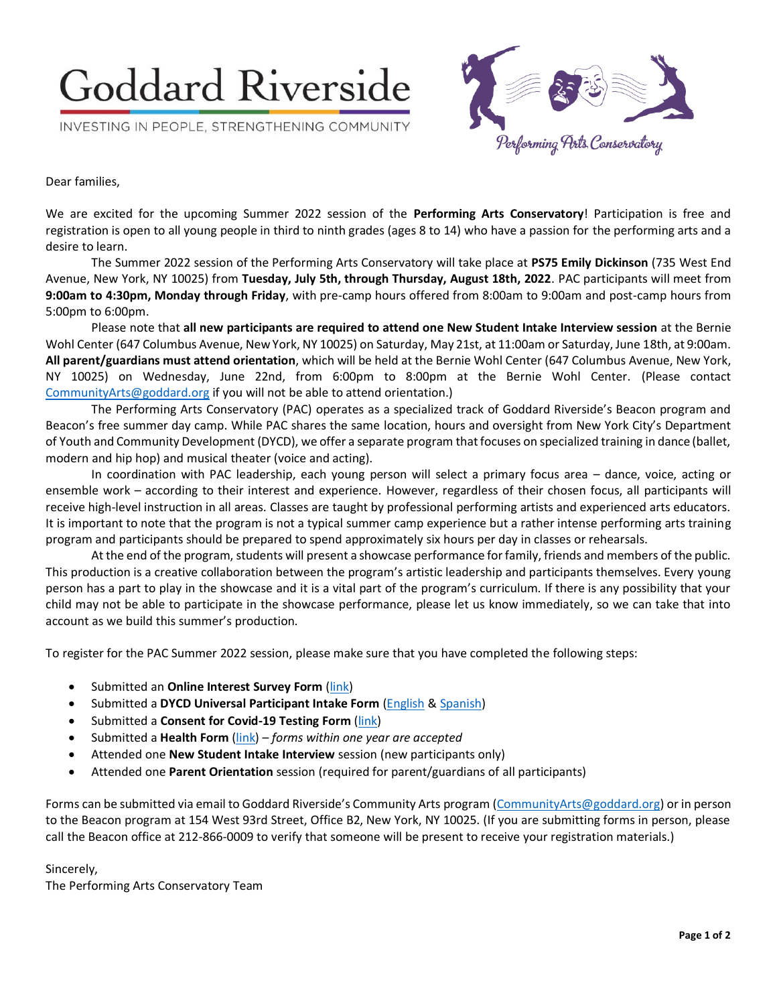# **Goddard Riverside**

INVESTING IN PEOPLE, STRENGTHENING COMMUNITY



Dear families,

We are excited for the upcoming Summer 2022 session of the **Performing Arts Conservatory**! Participation is free and registration is open to all young people in third to ninth grades (ages 8 to 14) who have a passion for the performing arts and a desire to learn.

The Summer 2022 session of the Performing Arts Conservatory will take place at **PS75 Emily Dickinson** (735 West End Avenue, New York, NY 10025) from **Tuesday, July 5th, through Thursday, August 18th, 2022**. PAC participants will meet from **9:00am to 4:30pm, Monday through Friday**, with pre-camp hours offered from 8:00am to 9:00am and post-camp hours from 5:00pm to 6:00pm.

Please note that **all new participants are required to attend one New Student Intake Interview session** at the Bernie Wohl Center (647 Columbus Avenue, New York, NY 10025) on Saturday, May 21st, at 11:00am or Saturday, June 18th, at 9:00am. **All parent/guardians must attend orientation**, which will be held at the Bernie Wohl Center (647 Columbus Avenue, New York, NY 10025) on Wednesday, June 22nd, from 6:00pm to 8:00pm at the Bernie Wohl Center. (Please contact [CommunityArts@goddard.org](mailto:CommunityArts@goddard.org) if you will not be able to attend orientation.)

The Performing Arts Conservatory (PAC) operates as a specialized track of Goddard Riverside's Beacon program and Beacon's free summer day camp. While PAC shares the same location, hours and oversight from New York City's Department of Youth and Community Development (DYCD), we offer a separate program that focuses on specialized training in dance (ballet, modern and hip hop) and musical theater (voice and acting).

In coordination with PAC leadership, each young person will select a primary focus area – dance, voice, acting or ensemble work – according to their interest and experience. However, regardless of their chosen focus, all participants will receive high-level instruction in all areas. Classes are taught by professional performing artists and experienced arts educators. It is important to note that the program is not a typical summer camp experience but a rather intense performing arts training program and participants should be prepared to spend approximately six hours per day in classes or rehearsals.

At the end of the program, students will present a showcase performance for family, friends and members of the public. This production is a creative collaboration between the program's artistic leadership and participants themselves. Every young person has a part to play in the showcase and it is a vital part of the program's curriculum. If there is any possibility that your child may not be able to participate in the showcase performance, please let us know immediately, so we can take that into account as we build this summer's production.

To register for the PAC Summer 2022 session, please make sure that you have completed the following steps:

- Submitted an **Online Interest Survey Form** [\(link\)](https://forms.office.com/Pages/ResponsePage.aspx?id=KOsjeCAte0KtnGb65re53_Cuo4TzRKdPoTjJRcd4AJpUOVhSTkVCMURRR0NEMVlJOU80TjFHWTZaRy4u)
- Submitted a **DYCD Universal Participant Intake Form** [\(English](https://goddard.org/wp-content/uploads/2021/04/DYCD-Youth-Services-Intake-%E2%80%93-Ages-13-and-Younger-GRCC.pdf) [& Spanish\)](https://goddard.org/wp-content/uploads/2021/04/DYCD-Universal-Participant-Intake-Spanish-GRCC.pdf)
- Submitted a **Consent for Covid-19 Testing Form** [\(link\)](https://goddard.org/wp-content/uploads/2021/04/Summer-Rising-Testing-Consent-GRCC.pdf)
- Submitted a **Health Form** [\(link\)](https://goddard.org/wp-content/uploads/2021/04/Health-Form-CH205-June2016-GRCC.pdf) *forms within one year are accepted*
- Attended one **New Student Intake Interview** session (new participants only)
- Attended one **Parent Orientation** session (required for parent/guardians of all participants)

Forms can be submitted via email to Goddard Riverside's Community Arts program [\(CommunityArts@goddard.org\)](mailto:CommunityArts@goddard.org) or in person to the Beacon program at 154 West 93rd Street, Office B2, New York, NY 10025. (If you are submitting forms in person, please call the Beacon office at 212-866-0009 to verify that someone will be present to receive your registration materials.)

#### Sincerely,

The Performing Arts Conservatory Team